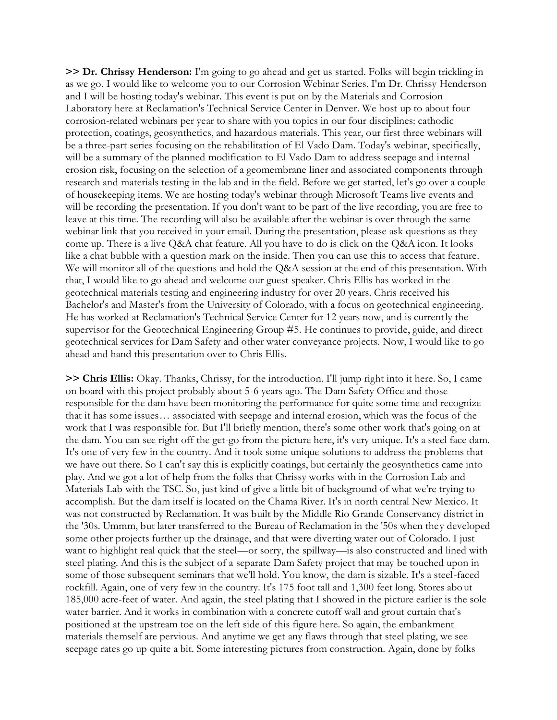**>> Dr. Chrissy Henderson:** I'm going to go ahead and get us started. Folks will begin trickling in as we go. I would like to welcome you to our Corrosion Webinar Series. I'm Dr. Chrissy Henderson and I will be hosting today's webinar. This event is put on by the Materials and Corrosion Laboratory here at Reclamation's Technical Service Center in Denver. We host up to about four corrosion-related webinars per year to share with you topics in our four disciplines: cathodic protection, coatings, geosynthetics, and hazardous materials. This year, our first three webinars will be a three-part series focusing on the rehabilitation of El Vado Dam. Today's webinar, specifically, will be a summary of the planned modification to El Vado Dam to address seepage and internal erosion risk, focusing on the selection of a geomembrane liner and associated components through research and materials testing in the lab and in the field. Before we get started, let's go over a couple of housekeeping items. We are hosting today's webinar through Microsoft Teams live events and will be recording the presentation. If you don't want to be part of the live recording, you are free to leave at this time. The recording will also be available after the webinar is over through the same webinar link that you received in your email. During the presentation, please ask questions as they come up. There is a live Q&A chat feature. All you have to do is click on the Q&A icon. It looks like a chat bubble with a question mark on the inside. Then you can use this to access that feature. We will monitor all of the questions and hold the Q&A session at the end of this presentation. With that, I would like to go ahead and welcome our guest speaker. Chris Ellis has worked in the geotechnical materials testing and engineering industry for over 20 years. Chris received his Bachelor's and Master's from the University of Colorado, with a focus on geotechnical engineering. He has worked at Reclamation's Technical Service Center for 12 years now, and is currently the supervisor for the Geotechnical Engineering Group #5. He continues to provide, guide, and direct geotechnical services for Dam Safety and other water conveyance projects. Now, I would like to go ahead and hand this presentation over to Chris Ellis.

**>> Chris Ellis:** Okay. Thanks, Chrissy, for the introduction. I'll jump right into it here. So, I came on board with this project probably about 5-6 years ago. The Dam Safety Office and those responsible for the dam have been monitoring the performance for quite some time and recognize that it has some issues… associated with seepage and internal erosion, which was the focus of the work that I was responsible for. But I'll briefly mention, there's some other work that's going on at the dam. You can see right off the get-go from the picture here, it's very unique. It's a steel face dam. It's one of very few in the country. And it took some unique solutions to address the problems that we have out there. So I can't say this is explicitly coatings, but certainly the geosynthetics came into play. And we got a lot of help from the folks that Chrissy works with in the Corrosion Lab and Materials Lab with the TSC. So, just kind of give a little bit of background of what we're trying to accomplish. But the dam itself is located on the Chama River. It's in north central New Mexico. It was not constructed by Reclamation. It was built by the Middle Rio Grande Conservancy district in the '30s. Ummm, but later transferred to the Bureau of Reclamation in the '50s when they developed some other projects further up the drainage, and that were diverting water out of Colorado. I just want to highlight real quick that the steel—or sorry, the spillway—is also constructed and lined with steel plating. And this is the subject of a separate Dam Safety project that may be touched upon in some of those subsequent seminars that we'll hold. You know, the dam is sizable. It's a steel-faced rockfill. Again, one of very few in the country. It's 175 foot tall and 1,300 feet long. Stores abo ut 185,000 acre-feet of water. And again, the steel plating that I showed in the picture earlier is the sole water barrier. And it works in combination with a concrete cutoff wall and grout curtain that's positioned at the upstream toe on the left side of this figure here. So again, the embankment materials themself are pervious. And anytime we get any flaws through that steel plating, we see seepage rates go up quite a bit. Some interesting pictures from construction. Again, done by folks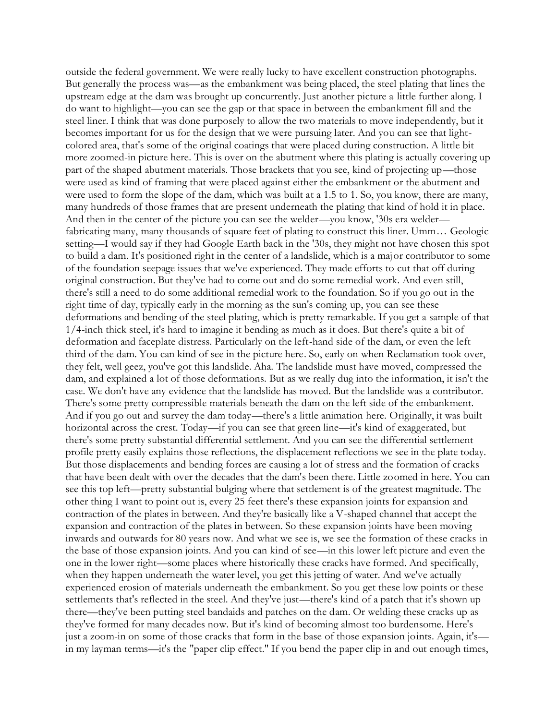outside the federal government. We were really lucky to have excellent construction photographs. But generally the process was—as the embankment was being placed, the steel plating that lines the upstream edge at the dam was brought up concurrently. Just another picture a little further along. I do want to highlight—you can see the gap or that space in between the embankment fill and the steel liner. I think that was done purposely to allow the two materials to move independently, but it becomes important for us for the design that we were pursuing later. And you can see that lightcolored area, that's some of the original coatings that were placed during construction. A little bit more zoomed-in picture here. This is over on the abutment where this plating is actually covering up part of the shaped abutment materials. Those brackets that you see, kind of projecting up—those were used as kind of framing that were placed against either the embankment or the abutment and were used to form the slope of the dam, which was built at a 1.5 to 1. So, you know, there are many, many hundreds of those frames that are present underneath the plating that kind of hold it in place. And then in the center of the picture you can see the welder—you know, '30s era welder fabricating many, many thousands of square feet of plating to construct this liner. Umm… Geologic setting—I would say if they had Google Earth back in the '30s, they might not have chosen this spot to build a dam. It's positioned right in the center of a landslide, which is a major contributor to some of the foundation seepage issues that we've experienced. They made efforts to cut that off during original construction. But they've had to come out and do some remedial work. And even still, there's still a need to do some additional remedial work to the foundation. So if you go out in the right time of day, typically early in the morning as the sun's coming up, you can see these deformations and bending of the steel plating, which is pretty remarkable. If you get a sample of that 1/4-inch thick steel, it's hard to imagine it bending as much as it does. But there's quite a bit of deformation and faceplate distress. Particularly on the left-hand side of the dam, or even the left third of the dam. You can kind of see in the picture here. So, early on when Reclamation took over, they felt, well geez, you've got this landslide. Aha. The landslide must have moved, compressed the dam, and explained a lot of those deformations. But as we really dug into the information, it isn't the case. We don't have any evidence that the landslide has moved. But the landslide was a contributor. There's some pretty compressible materials beneath the dam on the left side of the embankment. And if you go out and survey the dam today—there's a little animation here. Originally, it was built horizontal across the crest. Today—if you can see that green line—it's kind of exaggerated, but there's some pretty substantial differential settlement. And you can see the differential settlement profile pretty easily explains those reflections, the displacement reflections we see in the plate today. But those displacements and bending forces are causing a lot of stress and the formation of cracks that have been dealt with over the decades that the dam's been there. Little zoomed in here. You can see this top left—pretty substantial bulging where that settlement is of the greatest magnitude. The other thing I want to point out is, every 25 feet there's these expansion joints for expansion and contraction of the plates in between. And they're basically like a V-shaped channel that accept the expansion and contraction of the plates in between. So these expansion joints have been moving inwards and outwards for 80 years now. And what we see is, we see the formation of these cracks in the base of those expansion joints. And you can kind of see—in this lower left picture and even the one in the lower right—some places where historically these cracks have formed. And specifically, when they happen underneath the water level, you get this jetting of water. And we've actually experienced erosion of materials underneath the embankment. So you get these low points or these settlements that's reflected in the steel. And they've just—there's kind of a patch that it's shown up there—they've been putting steel bandaids and patches on the dam. Or welding these cracks up as they've formed for many decades now. But it's kind of becoming almost too burdensome. Here's just a zoom-in on some of those cracks that form in the base of those expansion joints. Again, it's in my layman terms—it's the "paper clip effect." If you bend the paper clip in and out enough times,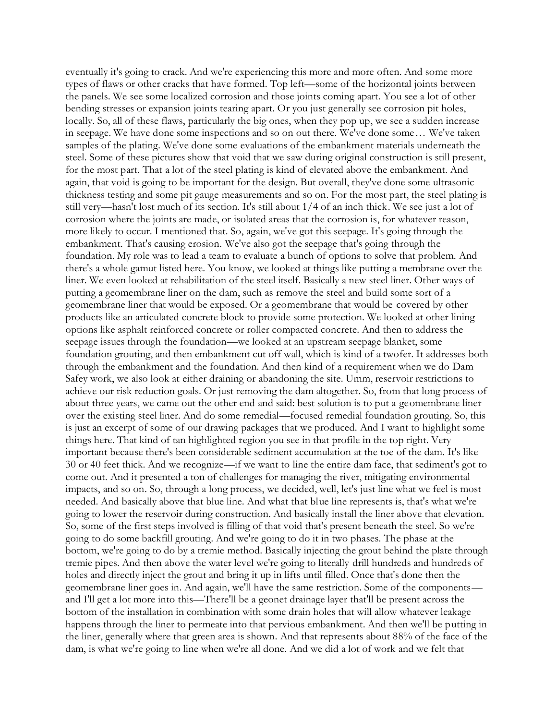eventually it's going to crack. And we're experiencing this more and more often. And some more types of flaws or other cracks that have formed. Top left—some of the horizontal joints between the panels. We see some localized corrosion and those joints coming apart. You see a lot of other bending stresses or expansion joints tearing apart. Or you just generally see corrosion pit holes, locally. So, all of these flaws, particularly the big ones, when they pop up, we see a sudden increase in seepage. We have done some inspections and so on out there. We've done some… We've taken samples of the plating. We've done some evaluations of the embankment materials underneath the steel. Some of these pictures show that void that we saw during original construction is still present, for the most part. That a lot of the steel plating is kind of elevated above the embankment. And again, that void is going to be important for the design. But overall, they've done some ultrasonic thickness testing and some pit gauge measurements and so on. For the most part, the steel plating is still very—hasn't lost much of its section. It's still about 1/4 of an inch thick. We see just a lot of corrosion where the joints are made, or isolated areas that the corrosion is, for whatever reason, more likely to occur. I mentioned that. So, again, we've got this seepage. It's going through the embankment. That's causing erosion. We've also got the seepage that's going through the foundation. My role was to lead a team to evaluate a bunch of options to solve that problem. And there's a whole gamut listed here. You know, we looked at things like putting a membrane over the liner. We even looked at rehabilitation of the steel itself. Basically a new steel liner. Other ways of putting a geomembrane liner on the dam, such as remove the steel and build some sort of a geomembrane liner that would be exposed. Or a geomembrane that would be covered by other products like an articulated concrete block to provide some protection. We looked at other lining options like asphalt reinforced concrete or roller compacted concrete. And then to address the seepage issues through the foundation—we looked at an upstream seepage blanket, some foundation grouting, and then embankment cut off wall, which is kind of a twofer. It addresses both through the embankment and the foundation. And then kind of a requirement when we do Dam Safey work, we also look at either draining or abandoning the site. Umm, reservoir restrictions to achieve our risk reduction goals. Or just removing the dam altogether. So, from that long process of about three years, we came out the other end and said: best solution is to put a geomembrane liner over the existing steel liner. And do some remedial—focused remedial foundation grouting. So, this is just an excerpt of some of our drawing packages that we produced. And I want to highlight some things here. That kind of tan highlighted region you see in that profile in the top right. Very important because there's been considerable sediment accumulation at the toe of the dam. It's like 30 or 40 feet thick. And we recognize—if we want to line the entire dam face, that sediment's got to come out. And it presented a ton of challenges for managing the river, mitigating environmental impacts, and so on. So, through a long process, we decided, well, let's just line what we feel is most needed. And basically above that blue line. And what that blue line represents is, that's what we're going to lower the reservoir during construction. And basically install the liner above that elevation. So, some of the first steps involved is filling of that void that's present beneath the steel. So we're going to do some backfill grouting. And we're going to do it in two phases. The phase at the bottom, we're going to do by a tremie method. Basically injecting the grout behind the plate through tremie pipes. And then above the water level we're going to literally drill hundreds and hundreds of holes and directly inject the grout and bring it up in lifts until filled. Once that's done then the geomembrane liner goes in. And again, we'll have the same restriction. Some of the components and I'll get a lot more into this—There'll be a geonet drainage layer that'll be present across the bottom of the installation in combination with some drain holes that will allow whatever leakage happens through the liner to permeate into that pervious embankment. And then we'll be putting in the liner, generally where that green area is shown. And that represents about 88% of the face of the dam, is what we're going to line when we're all done. And we did a lot of work and we felt that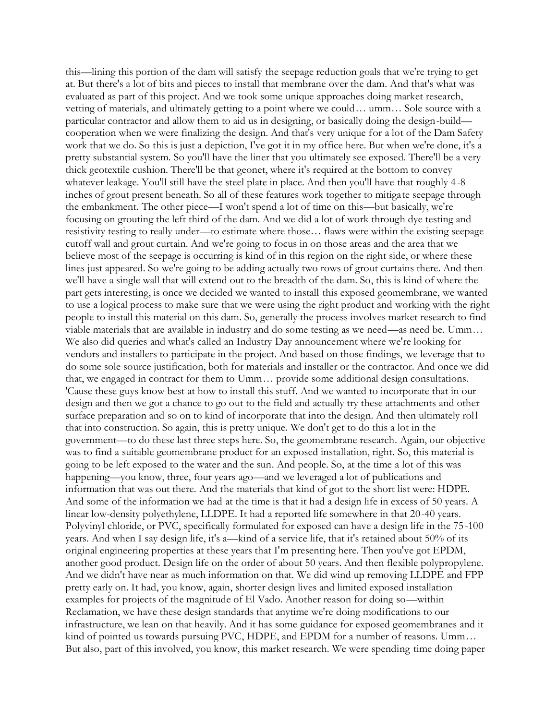this—lining this portion of the dam will satisfy the seepage reduction goals that we're trying to get at. But there's a lot of bits and pieces to install that membrane over the dam. And that's what was evaluated as part of this project. And we took some unique approaches doing market research, vetting of materials, and ultimately getting to a point where we could… umm… Sole source with a particular contractor and allow them to aid us in designing, or basically doing the design-build cooperation when we were finalizing the design. And that's very unique for a lot of the Dam Safety work that we do. So this is just a depiction, I've got it in my office here. But when we're done, it's a pretty substantial system. So you'll have the liner that you ultimately see exposed. There'll be a very thick geotextile cushion. There'll be that geonet, where it's required at the bottom to convey whatever leakage. You'll still have the steel plate in place. And then you'll have that roughly 4-8 inches of grout present beneath. So all of these features work together to mitigate seepage through the embankment. The other piece—I won't spend a lot of time on this—but basically, we're focusing on grouting the left third of the dam. And we did a lot of work through dye testing and resistivity testing to really under—to estimate where those… flaws were within the existing seepage cutoff wall and grout curtain. And we're going to focus in on those areas and the area that we believe most of the seepage is occurring is kind of in this region on the right side, or where these lines just appeared. So we're going to be adding actually two rows of grout curtains there. And then we'll have a single wall that will extend out to the breadth of the dam. So, this is kind of where the part gets interesting, is once we decided we wanted to install this exposed geomembrane, we wanted to use a logical process to make sure that we were using the right product and working with the right people to install this material on this dam. So, generally the process involves market research to find viable materials that are available in industry and do some testing as we need—as need be. Umm… We also did queries and what's called an Industry Day announcement where we're looking for vendors and installers to participate in the project. And based on those findings, we leverage that to do some sole source justification, both for materials and installer or the contractor. And once we did that, we engaged in contract for them to Umm… provide some additional design consultations. 'Cause these guys know best at how to install this stuff. And we wanted to incorporate that in our design and then we got a chance to go out to the field and actually try these attachments and other surface preparation and so on to kind of incorporate that into the design. And then ultimately roll that into construction. So again, this is pretty unique. We don't get to do this a lot in the government—to do these last three steps here. So, the geomembrane research. Again, our objective was to find a suitable geomembrane product for an exposed installation, right. So, this material is going to be left exposed to the water and the sun. And people. So, at the time a lot of this was happening—you know, three, four years ago—and we leveraged a lot of publications and information that was out there. And the materials that kind of got to the short list were: HDPE. And some of the information we had at the time is that it had a design life in excess of 50 years. A linear low-density polyethylene, LLDPE. It had a reported life somewhere in that 20-40 years. Polyvinyl chloride, or PVC, specifically formulated for exposed can have a design life in the 75-100 years. And when I say design life, it's a—kind of a service life, that it's retained about 50% of its original engineering properties at these years that I'm presenting here. Then you've got EPDM, another good product. Design life on the order of about 50 years. And then flexible polypropylene. And we didn't have near as much information on that. We did wind up removing LLDPE and FPP pretty early on. It had, you know, again, shorter design lives and limited exposed installation examples for projects of the magnitude of El Vado. Another reason for doing so—within Reclamation, we have these design standards that anytime we're doing modifications to our infrastructure, we lean on that heavily. And it has some guidance for exposed geomembranes and it kind of pointed us towards pursuing PVC, HDPE, and EPDM for a number of reasons. Umm… But also, part of this involved, you know, this market research. We were spending time doing paper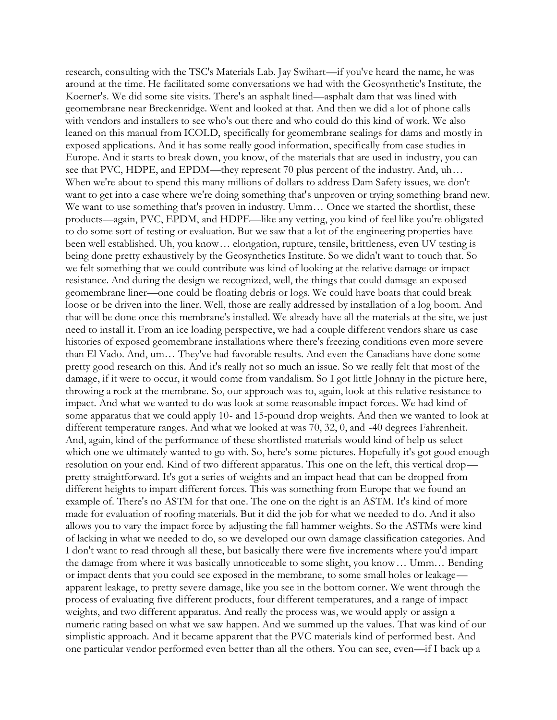research, consulting with the TSC's Materials Lab. Jay Swihart—if you've heard the name, he was around at the time. He facilitated some conversations we had with the Geosynthetic's Institute, the Koerner's. We did some site visits. There's an asphalt lined—asphalt dam that was lined with geomembrane near Breckenridge. Went and looked at that. And then we did a lot of phone calls with vendors and installers to see who's out there and who could do this kind of work. We also leaned on this manual from ICOLD, specifically for geomembrane sealings for dams and mostly in exposed applications. And it has some really good information, specifically from case studies in Europe. And it starts to break down, you know, of the materials that are used in industry, you can see that PVC, HDPE, and EPDM—they represent 70 plus percent of the industry. And, uh… When we're about to spend this many millions of dollars to address Dam Safety issues, we don't want to get into a case where we're doing something that's unproven or trying something brand new. We want to use something that's proven in industry. Umm... Once we started the shortlist, these products—again, PVC, EPDM, and HDPE—like any vetting, you kind of feel like you're obligated to do some sort of testing or evaluation. But we saw that a lot of the engineering properties have been well established. Uh, you know… elongation, rupture, tensile, brittleness, even UV testing is being done pretty exhaustively by the Geosynthetics Institute. So we didn't want to touch that. So we felt something that we could contribute was kind of looking at the relative damage or impact resistance. And during the design we recognized, well, the things that could damage an exposed geomembrane liner—one could be floating debris or logs. We could have boats that could break loose or be driven into the liner. Well, those are really addressed by installation of a log boom. And that will be done once this membrane's installed. We already have all the materials at the site, we just need to install it. From an ice loading perspective, we had a couple different vendors share us case histories of exposed geomembrane installations where there's freezing conditions even more severe than El Vado. And, um… They've had favorable results. And even the Canadians have done some pretty good research on this. And it's really not so much an issue. So we really felt that most of the damage, if it were to occur, it would come from vandalism. So I got little Johnny in the picture here, throwing a rock at the membrane. So, our approach was to, again, look at this relative resistance to impact. And what we wanted to do was look at some reasonable impact forces. We had kind of some apparatus that we could apply 10- and 15-pound drop weights. And then we wanted to look at different temperature ranges. And what we looked at was 70, 32, 0, and -40 degrees Fahrenheit. And, again, kind of the performance of these shortlisted materials would kind of help us select which one we ultimately wanted to go with. So, here's some pictures. Hopefully it's got good enough resolution on your end. Kind of two different apparatus. This one on the left, this vertical drop pretty straightforward. It's got a series of weights and an impact head that can be dropped from different heights to impart different forces. This was something from Europe that we found an example of. There's no ASTM for that one. The one on the right is an ASTM. It's kind of more made for evaluation of roofing materials. But it did the job for what we needed to do. And it also allows you to vary the impact force by adjusting the fall hammer weights. So the ASTMs were kind of lacking in what we needed to do, so we developed our own damage classification categories. And I don't want to read through all these, but basically there were five increments where you'd impart the damage from where it was basically unnoticeable to some slight, you know… Umm… Bending or impact dents that you could see exposed in the membrane, to some small holes or leakage apparent leakage, to pretty severe damage, like you see in the bottom corner. We went through the process of evaluating five different products, four different temperatures, and a range of impact weights, and two different apparatus. And really the process was, we would apply or assign a numeric rating based on what we saw happen. And we summed up the values. That was kind of our simplistic approach. And it became apparent that the PVC materials kind of performed best. And one particular vendor performed even better than all the others. You can see, even—if I back up a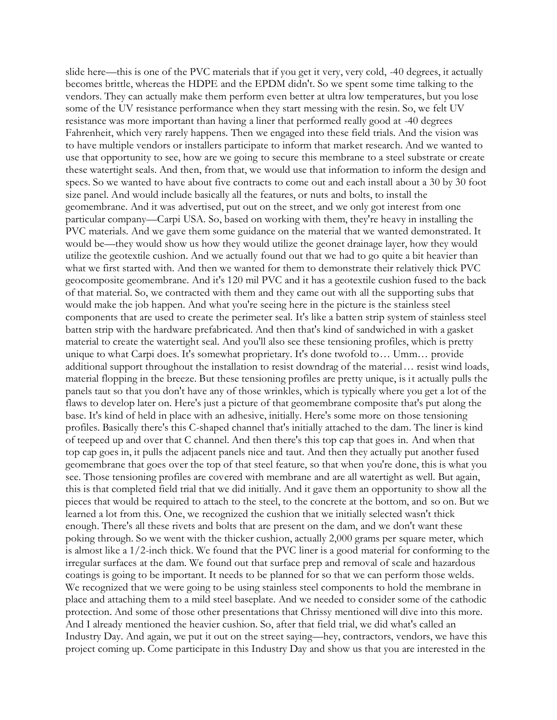slide here—this is one of the PVC materials that if you get it very, very cold, -40 degrees, it actually becomes brittle, whereas the HDPE and the EPDM didn't. So we spent some time talking to the vendors. They can actually make them perform even better at ultra low temperatures, but you lose some of the UV resistance performance when they start messing with the resin. So, we felt UV resistance was more important than having a liner that performed really good at -40 degrees Fahrenheit, which very rarely happens. Then we engaged into these field trials. And the vision was to have multiple vendors or installers participate to inform that market research. And we wanted to use that opportunity to see, how are we going to secure this membrane to a steel substrate or create these watertight seals. And then, from that, we would use that information to inform the design and specs. So we wanted to have about five contracts to come out and each install about a 30 by 30 foot size panel. And would include basically all the features, or nuts and bolts, to install the geomembrane. And it was advertised, put out on the street, and we only got interest from one particular company—Carpi USA. So, based on working with them, they're heavy in installing the PVC materials. And we gave them some guidance on the material that we wanted demonstrated. It would be—they would show us how they would utilize the geonet drainage layer, how they would utilize the geotextile cushion. And we actually found out that we had to go quite a bit heavier than what we first started with. And then we wanted for them to demonstrate their relatively thick PVC geocomposite geomembrane. And it's 120 mil PVC and it has a geotextile cushion fused to the back of that material. So, we contracted with them and they came out with all the supporting subs that would make the job happen. And what you're seeing here in the picture is the stainless steel components that are used to create the perimeter seal. It's like a batten strip system of stainless steel batten strip with the hardware prefabricated. And then that's kind of sandwiched in with a gasket material to create the watertight seal. And you'll also see these tensioning profiles, which is pretty unique to what Carpi does. It's somewhat proprietary. It's done twofold to… Umm… provide additional support throughout the installation to resist downdrag of the material… resist wind loads, material flopping in the breeze. But these tensioning profiles are pretty unique, is it actually pulls the panels taut so that you don't have any of those wrinkles, which is typically where you get a lot of the flaws to develop later on. Here's just a picture of that geomembrane composite that's put along the base. It's kind of held in place with an adhesive, initially. Here's some more on those tensioning profiles. Basically there's this C-shaped channel that's initially attached to the dam. The liner is kind of teepeed up and over that C channel. And then there's this top cap that goes in. And when that top cap goes in, it pulls the adjacent panels nice and taut. And then they actually put another fused geomembrane that goes over the top of that steel feature, so that when you're done, this is what you see. Those tensioning profiles are covered with membrane and are all watertight as well. But again, this is that completed field trial that we did initially. And it gave them an opportunity to show all the pieces that would be required to attach to the steel, to the concrete at the bottom, and so on. But we learned a lot from this. One, we recognized the cushion that we initially selected wasn't thick enough. There's all these rivets and bolts that are present on the dam, and we don't want these poking through. So we went with the thicker cushion, actually 2,000 grams per square meter, which is almost like a 1/2-inch thick. We found that the PVC liner is a good material for conforming to the irregular surfaces at the dam. We found out that surface prep and removal of scale and hazardous coatings is going to be important. It needs to be planned for so that we can perform those welds. We recognized that we were going to be using stainless steel components to hold the membrane in place and attaching them to a mild steel baseplate. And we needed to consider some of the cathodic protection. And some of those other presentations that Chrissy mentioned will dive into this more. And I already mentioned the heavier cushion. So, after that field trial, we did what's called an Industry Day. And again, we put it out on the street saying—hey, contractors, vendors, we have this project coming up. Come participate in this Industry Day and show us that you are interested in the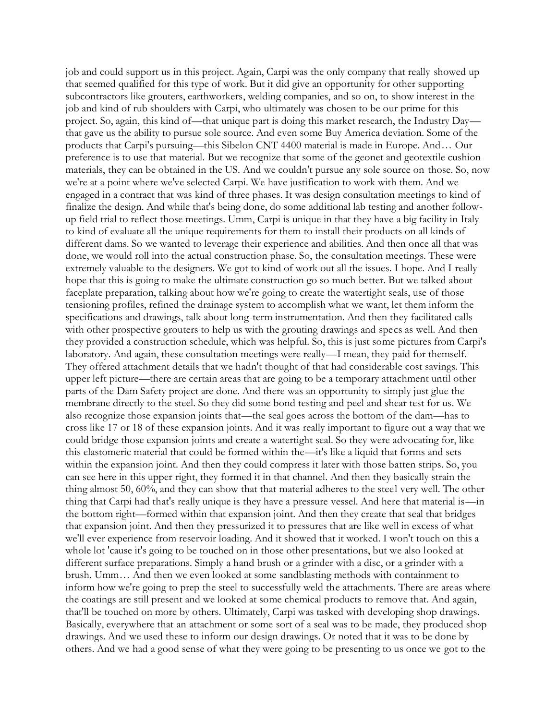job and could support us in this project. Again, Carpi was the only company that really showed up that seemed qualified for this type of work. But it did give an opportunity for other supporting subcontractors like grouters, earthworkers, welding companies, and so on, to show interest in the job and kind of rub shoulders with Carpi, who ultimately was chosen to be our prime for this project. So, again, this kind of—that unique part is doing this market research, the Industry Day that gave us the ability to pursue sole source. And even some Buy America deviation. Some of the products that Carpi's pursuing—this Sibelon CNT 4400 material is made in Europe. And… Our preference is to use that material. But we recognize that some of the geonet and geotextile cushion materials, they can be obtained in the US. And we couldn't pursue any sole source on those. So, now we're at a point where we've selected Carpi. We have justification to work with them. And we engaged in a contract that was kind of three phases. It was design consultation meetings to kind of finalize the design. And while that's being done, do some additional lab testing and another followup field trial to reflect those meetings. Umm, Carpi is unique in that they have a big facility in Italy to kind of evaluate all the unique requirements for them to install their products on all kinds of different dams. So we wanted to leverage their experience and abilities. And then once all that was done, we would roll into the actual construction phase. So, the consultation meetings. These were extremely valuable to the designers. We got to kind of work out all the issues. I hope. And I really hope that this is going to make the ultimate construction go so much better. But we talked about faceplate preparation, talking about how we're going to create the watertight seals, use of those tensioning profiles, refined the drainage system to accomplish what we want, let them inform the specifications and drawings, talk about long-term instrumentation. And then they facilitated calls with other prospective grouters to help us with the grouting drawings and specs as well. And then they provided a construction schedule, which was helpful. So, this is just some pictures from Carpi's laboratory. And again, these consultation meetings were really—I mean, they paid for themself. They offered attachment details that we hadn't thought of that had considerable cost savings. This upper left picture—there are certain areas that are going to be a temporary attachment until other parts of the Dam Safety project are done. And there was an opportunity to simply just glue the membrane directly to the steel. So they did some bond testing and peel and shear test for us. We also recognize those expansion joints that—the seal goes across the bottom of the dam—has to cross like 17 or 18 of these expansion joints. And it was really important to figure out a way that we could bridge those expansion joints and create a watertight seal. So they were advocating for, like this elastomeric material that could be formed within the—it's like a liquid that forms and sets within the expansion joint. And then they could compress it later with those batten strips. So, you can see here in this upper right, they formed it in that channel. And then they basically strain the thing almost 50, 60%, and they can show that that material adheres to the steel very well. The other thing that Carpi had that's really unique is they have a pressure vessel. And here that material is—in the bottom right—formed within that expansion joint. And then they create that seal that bridges that expansion joint. And then they pressurized it to pressures that are like well in excess of what we'll ever experience from reservoir loading. And it showed that it worked. I won't touch on this a whole lot 'cause it's going to be touched on in those other presentations, but we also looked at different surface preparations. Simply a hand brush or a grinder with a disc, or a grinder with a brush. Umm… And then we even looked at some sandblasting methods with containment to inform how we're going to prep the steel to successfully weld the attachments. There are areas where the coatings are still present and we looked at some chemical products to remove that. And again, that'll be touched on more by others. Ultimately, Carpi was tasked with developing shop drawings. Basically, everywhere that an attachment or some sort of a seal was to be made, they produced shop drawings. And we used these to inform our design drawings. Or noted that it was to be done by others. And we had a good sense of what they were going to be presenting to us once we got to the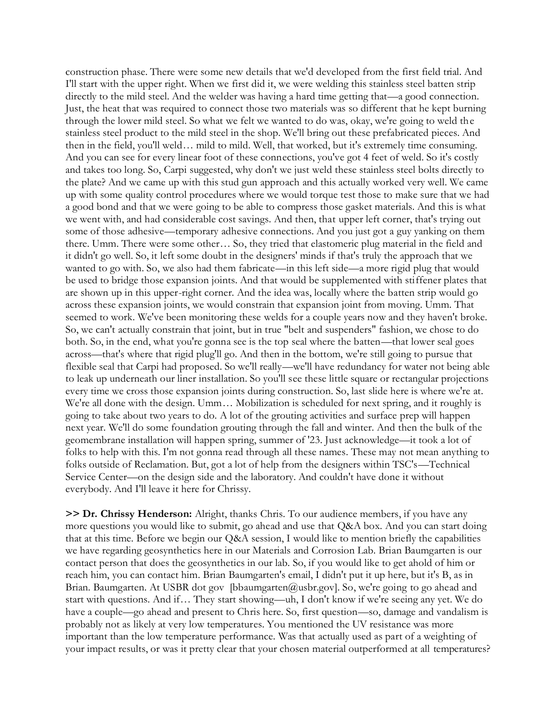construction phase. There were some new details that we'd developed from the first field trial. And I'll start with the upper right. When we first did it, we were welding this stainless steel batten strip directly to the mild steel. And the welder was having a hard time getting that—a good connection. Just, the heat that was required to connect those two materials was so different that he kept burning through the lower mild steel. So what we felt we wanted to do was, okay, we're going to weld the stainless steel product to the mild steel in the shop. We'll bring out these prefabricated pieces. And then in the field, you'll weld… mild to mild. Well, that worked, but it's extremely time consuming. And you can see for every linear foot of these connections, you've got 4 feet of weld. So it's costly and takes too long. So, Carpi suggested, why don't we just weld these stainless steel bolts directly to the plate? And we came up with this stud gun approach and this actually worked very well. We came up with some quality control procedures where we would torque test those to make sure that we had a good bond and that we were going to be able to compress those gasket materials. And this is what we went with, and had considerable cost savings. And then, that upper left corner, that's trying out some of those adhesive—temporary adhesive connections. And you just got a guy yanking on them there. Umm. There were some other… So, they tried that elastomeric plug material in the field and it didn't go well. So, it left some doubt in the designers' minds if that's truly the approach that we wanted to go with. So, we also had them fabricate—in this left side—a more rigid plug that would be used to bridge those expansion joints. And that would be supplemented with stiffener plates that are shown up in this upper-right corner. And the idea was, locally where the batten strip would go across these expansion joints, we would constrain that expansion joint from moving. Umm. That seemed to work. We've been monitoring these welds for a couple years now and they haven't broke. So, we can't actually constrain that joint, but in true "belt and suspenders" fashion, we chose to do both. So, in the end, what you're gonna see is the top seal where the batten—that lower seal goes across—that's where that rigid plug'll go. And then in the bottom, we're still going to pursue that flexible seal that Carpi had proposed. So we'll really—we'll have redundancy for water not being able to leak up underneath our liner installation. So you'll see these little square or rectangular projections every time we cross those expansion joints during construction. So, last slide here is where we're at. We're all done with the design. Umm… Mobilization is scheduled for next spring, and it roughly is going to take about two years to do. A lot of the grouting activities and surface prep will happen next year. We'll do some foundation grouting through the fall and winter. And then the bulk of the geomembrane installation will happen spring, summer of '23. Just acknowledge—it took a lot of folks to help with this. I'm not gonna read through all these names. These may not mean anything to folks outside of Reclamation. But, got a lot of help from the designers within TSC's—Technical Service Center—on the design side and the laboratory. And couldn't have done it without everybody. And I'll leave it here for Chrissy.

**>> Dr. Chrissy Henderson:** Alright, thanks Chris. To our audience members, if you have any more questions you would like to submit, go ahead and use that Q&A box. And you can start doing that at this time. Before we begin our Q&A session, I would like to mention briefly the capabilities we have regarding geosynthetics here in our Materials and Corrosion Lab. Brian Baumgarten is our contact person that does the geosynthetics in our lab. So, if you would like to get ahold of him or reach him, you can contact him. Brian Baumgarten's email, I didn't put it up here, but it's B, as in Brian. Baumgarten. At USBR dot gov [bbaumgarten@usbr.gov]. So, we're going to go ahead and start with questions. And if… They start showing—uh, I don't know if we're seeing any yet. We do have a couple—go ahead and present to Chris here. So, first question—so, damage and vandalism is probably not as likely at very low temperatures. You mentioned the UV resistance was more important than the low temperature performance. Was that actually used as part of a weighting of your impact results, or was it pretty clear that your chosen material outperformed at all temperatures?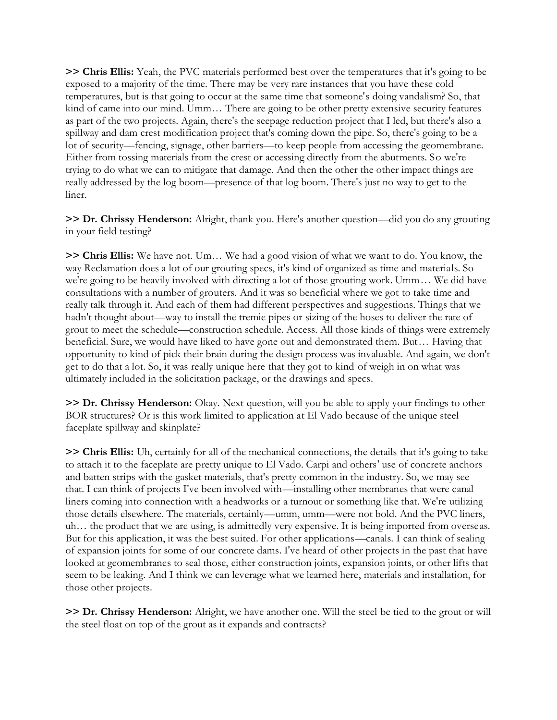**>> Chris Ellis:** Yeah, the PVC materials performed best over the temperatures that it's going to be exposed to a majority of the time. There may be very rare instances that you have these cold temperatures, but is that going to occur at the same time that someone's doing vandalism? So, that kind of came into our mind. Umm… There are going to be other pretty extensive security features as part of the two projects. Again, there's the seepage reduction project that I led, but there's also a spillway and dam crest modification project that's coming down the pipe. So, there's going to be a lot of security—fencing, signage, other barriers—to keep people from accessing the geomembrane. Either from tossing materials from the crest or accessing directly from the abutments. So we're trying to do what we can to mitigate that damage. And then the other the other impact things are really addressed by the log boom—presence of that log boom. There's just no way to get to the liner.

**>> Dr. Chrissy Henderson:** Alright, thank you. Here's another question—did you do any grouting in your field testing?

**>> Chris Ellis:** We have not. Um… We had a good vision of what we want to do. You know, the way Reclamation does a lot of our grouting specs, it's kind of organized as time and materials. So we're going to be heavily involved with directing a lot of those grouting work. Umm… We did have consultations with a number of grouters. And it was so beneficial where we got to take time and really talk through it. And each of them had different perspectives and suggestions. Things that we hadn't thought about—way to install the tremie pipes or sizing of the hoses to deliver the rate of grout to meet the schedule—construction schedule. Access. All those kinds of things were extremely beneficial. Sure, we would have liked to have gone out and demonstrated them. But… Having that opportunity to kind of pick their brain during the design process was invaluable. And again, we don't get to do that a lot. So, it was really unique here that they got to kind of weigh in on what was ultimately included in the solicitation package, or the drawings and specs.

**>> Dr. Chrissy Henderson:** Okay. Next question, will you be able to apply your findings to other BOR structures? Or is this work limited to application at El Vado because of the unique steel faceplate spillway and skinplate?

**>> Chris Ellis:** Uh, certainly for all of the mechanical connections, the details that it's going to take to attach it to the faceplate are pretty unique to El Vado. Carpi and others' use of concrete anchors and batten strips with the gasket materials, that's pretty common in the industry. So, we may see that. I can think of projects I've been involved with—installing other membranes that were canal liners coming into connection with a headworks or a turnout or something like that. We're utilizing those details elsewhere. The materials, certainly—umm, umm—were not bold. And the PVC liners, uh… the product that we are using, is admittedly very expensive. It is being imported from overseas. But for this application, it was the best suited. For other applications—canals. I can think of sealing of expansion joints for some of our concrete dams. I've heard of other projects in the past that have looked at geomembranes to seal those, either construction joints, expansion joints, or other lifts that seem to be leaking. And I think we can leverage what we learned here, materials and installation, for those other projects.

**>> Dr. Chrissy Henderson:** Alright, we have another one. Will the steel be tied to the grout or will the steel float on top of the grout as it expands and contracts?